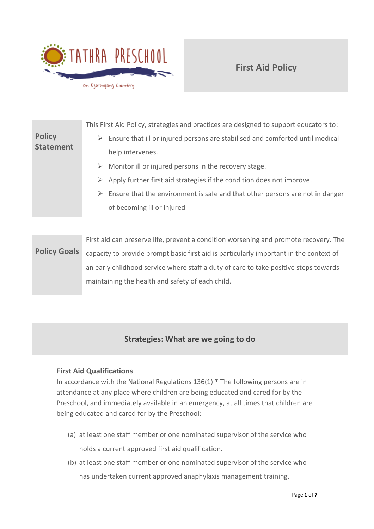

# **First Aid Policy**

**Policy Statement** This First Aid Policy, strategies and practices are designed to support educators to:  $\triangleright$  Ensure that ill or injured persons are stabilised and comforted until medical help intervenes.  $\triangleright$  Monitor ill or injured persons in the recovery stage.  $\triangleright$  Apply further first aid strategies if the condition does not improve.  $\triangleright$  Ensure that the environment is safe and that other persons are not in danger of becoming ill or injured

**Policy Goals** First aid can preserve life, prevent a condition worsening and promote recovery. The capacity to provide prompt basic first aid is particularly important in the context of an early childhood service where staff a duty of care to take positive steps towards maintaining the health and safety of each child.

# **Strategies: What are we going to do**

## **First Aid Qualifications**

In accordance with the National Regulations 136(1) \* The following persons are in attendance at any place where children are being educated and cared for by the Preschool, and immediately available in an emergency, at all times that children are being educated and cared for by the Preschool:

- (a) at least one staff member or one nominated supervisor of the service who holds a current approved first aid qualification.
- (b) at least one staff member or one nominated supervisor of the service who has undertaken current approved anaphylaxis management training.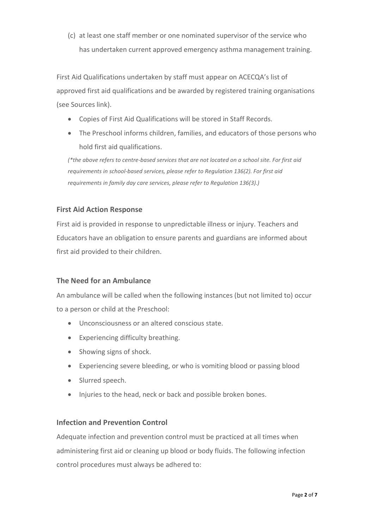(c) at least one staff member or one nominated supervisor of the service who has undertaken current approved emergency asthma management training.

First Aid Qualifications undertaken by staff must appear on ACECQA's list of approved first aid qualifications and be awarded by registered training organisations (see Sources link).

- Copies of First Aid Qualifications will be stored in Staff Records.
- The Preschool informs children, families, and educators of those persons who hold first aid qualifications.

*(\*the above refers to centre-based services that are not located on a school site. For first aid requirements in school-based services, please refer to Regulation 136(2). For first aid requirements in family day care services, please refer to Regulation 136(3).)*

## **First Aid Action Response**

First aid is provided in response to unpredictable illness or injury. Teachers and Educators have an obligation to ensure parents and guardians are informed about first aid provided to their children.

## **The Need for an Ambulance**

An ambulance will be called when the following instances (but not limited to) occur to a person or child at the Preschool:

- Unconsciousness or an altered conscious state.
- Experiencing difficulty breathing.
- Showing signs of shock.
- Experiencing severe bleeding, or who is vomiting blood or passing blood
- Slurred speech.
- Injuries to the head, neck or back and possible broken bones.

## **Infection and Prevention Control**

Adequate infection and prevention control must be practiced at all times when administering first aid or cleaning up blood or body fluids. The following infection control procedures must always be adhered to: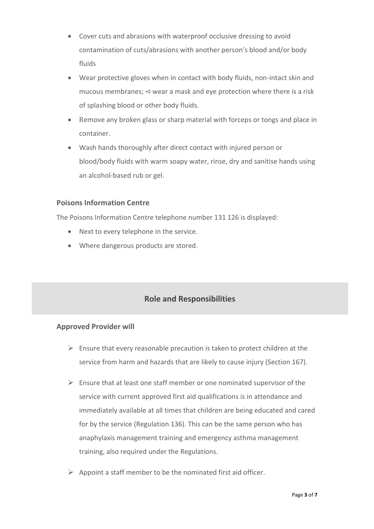- Cover cuts and abrasions with waterproof occlusive dressing to avoid contamination of cuts/abrasions with another person's blood and/or body fluids
- Wear protective gloves when in contact with body fluids, non-intact skin and mucous membranes; ⊲ wear a mask and eye protection where there is a risk of splashing blood or other body fluids.
- Remove any broken glass or sharp material with forceps or tongs and place in container.
- Wash hands thoroughly after direct contact with injured person or blood/body fluids with warm soapy water, rinse, dry and sanitise hands using an alcohol-based rub or gel.

## **Poisons Information Centre**

The Poisons Information Centre telephone number 131 126 is displayed:

- Next to every telephone in the service.
- Where dangerous products are stored.

# **Role and Responsibilities**

#### **Approved Provider will**

- $\triangleright$  Ensure that every reasonable precaution is taken to protect children at the service from harm and hazards that are likely to cause injury (Section 167).
- $\triangleright$  Ensure that at least one staff member or one nominated supervisor of the service with current approved first aid qualifications is in attendance and immediately available at all times that children are being educated and cared for by the service (Regulation 136). This can be the same person who has anaphylaxis management training and emergency asthma management training, also required under the Regulations.
- $\triangleright$  Appoint a staff member to be the nominated first aid officer.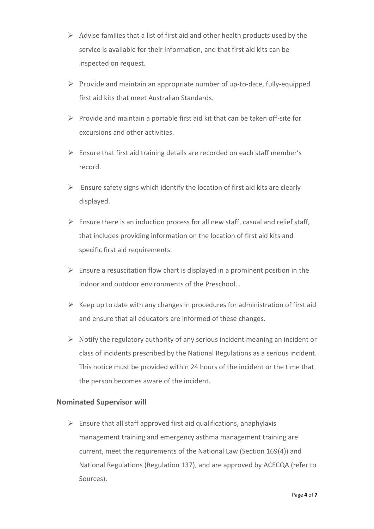- $\triangleright$  Advise families that a list of first aid and other health products used by the service is available for their information, and that first aid kits can be inspected on request.
- $\triangleright$  Provide and maintain an appropriate number of up-to-date, fully-equipped first aid kits that meet Australian Standards.
- $\triangleright$  Provide and maintain a portable first aid kit that can be taken off-site for excursions and other activities.
- ➢ Ensure that first aid training details are recorded on each staff member's record.
- $\triangleright$  Ensure safety signs which identify the location of first aid kits are clearly displayed.
- $\triangleright$  Ensure there is an induction process for all new staff, casual and relief staff, that includes providing information on the location of first aid kits and specific first aid requirements.
- $\triangleright$  Ensure a resuscitation flow chart is displayed in a prominent position in the indoor and outdoor environments of the Preschool. .
- $\triangleright$  Keep up to date with any changes in procedures for administration of first aid and ensure that all educators are informed of these changes.
- $\triangleright$  Notify the regulatory authority of any serious incident meaning an incident or class of incidents prescribed by the National Regulations as a serious incident. This notice must be provided within 24 hours of the incident or the time that the person becomes aware of the incident.

## **Nominated Supervisor will**

 $\triangleright$  Ensure that all staff approved first aid qualifications, anaphylaxis management training and emergency asthma management training are current, meet the requirements of the National Law (Section 169(4)) and National Regulations (Regulation 137), and are approved by ACECQA (refer to Sources).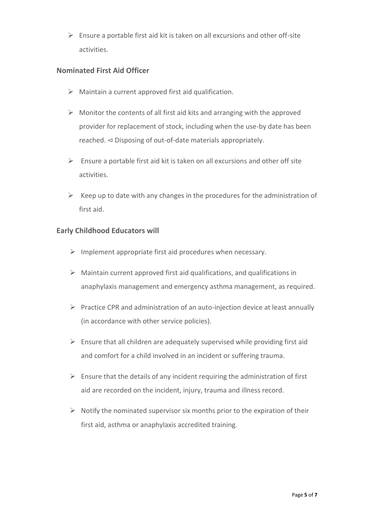$\triangleright$  Ensure a portable first aid kit is taken on all excursions and other off-site activities.

## **Nominated First Aid Officer**

- $\triangleright$  Maintain a current approved first aid qualification.
- $\triangleright$  Monitor the contents of all first aid kits and arranging with the approved provider for replacement of stock, including when the use-by date has been reached. ⊲ Disposing of out-of-date materials appropriately.
- $\triangleright$  Ensure a portable first aid kit is taken on all excursions and other off site activities.
- $\triangleright$  Keep up to date with any changes in the procedures for the administration of first aid.

### **Early Childhood Educators will**

- $\triangleright$  Implement appropriate first aid procedures when necessary.
- $\triangleright$  Maintain current approved first aid qualifications, and qualifications in anaphylaxis management and emergency asthma management, as required.
- $\triangleright$  Practice CPR and administration of an auto-injection device at least annually (in accordance with other service policies).
- $\triangleright$  Ensure that all children are adequately supervised while providing first aid and comfort for a child involved in an incident or suffering trauma.
- $\triangleright$  Ensure that the details of any incident requiring the administration of first aid are recorded on the incident, injury, trauma and illness record.
- $\triangleright$  Notify the nominated supervisor six months prior to the expiration of their first aid, asthma or anaphylaxis accredited training.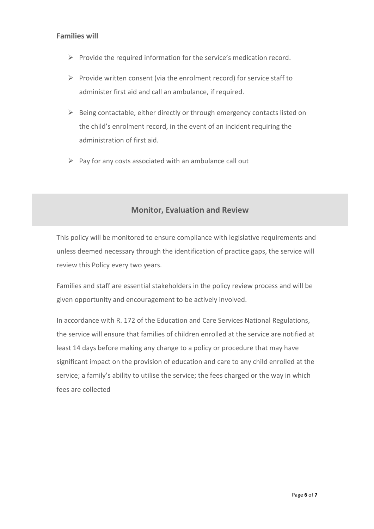### **Families will**

- ➢ Provide the required information for the service's medication record.
- $\triangleright$  Provide written consent (via the enrolment record) for service staff to administer first aid and call an ambulance, if required.
- $\triangleright$  Being contactable, either directly or through emergency contacts listed on the child's enrolment record, in the event of an incident requiring the administration of first aid.
- $\triangleright$  Pay for any costs associated with an ambulance call out

## **Monitor, Evaluation and Review**

This policy will be monitored to ensure compliance with legislative requirements and unless deemed necessary through the identification of practice gaps, the service will review this Policy every two years.

Families and staff are essential stakeholders in the policy review process and will be given opportunity and encouragement to be actively involved.

In accordance with R. 172 of the Education and Care Services National Regulations, the service will ensure that families of children enrolled at the service are notified at least 14 days before making any change to a policy or procedure that may have significant impact on the provision of education and care to any child enrolled at the service; a family's ability to utilise the service; the fees charged or the way in which fees are collected